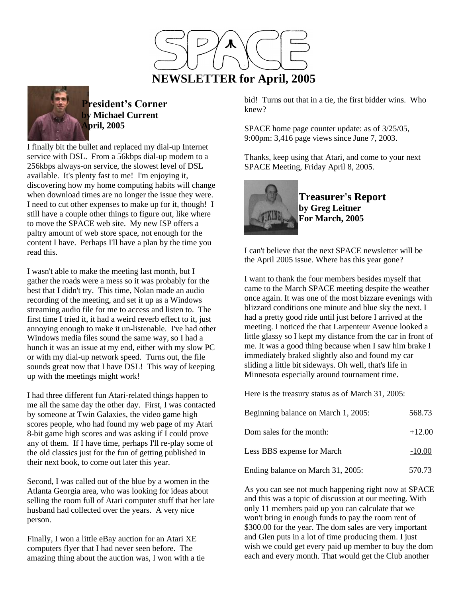



**President's Corner by Michael Current April, 2005**

I finally bit the bullet and replaced my dial-up Internet service with DSL. From a 56kbps dial-up modem to a 256kbps always-on service, the slowest level of DSL available. It's plenty fast to me! I'm enjoying it, discovering how my home computing habits will change when download times are no longer the issue they were. I need to cut other expenses to make up for it, though! I still have a couple other things to figure out, like where to move the SPACE web site. My new ISP offers a paltry amount of web store space, not enough for the content I have. Perhaps I'll have a plan by the time you read this.

I wasn't able to make the meeting last month, but I gather the roads were a mess so it was probably for the best that I didn't try. This time, Nolan made an audio recording of the meeting, and set it up as a Windows streaming audio file for me to access and listen to. The first time I tried it, it had a weird reverb effect to it, just annoying enough to make it un-listenable. I've had other Windows media files sound the same way, so I had a hunch it was an issue at my end, either with my slow PC or with my dial-up network speed. Turns out, the file sounds great now that I have DSL! This way of keeping up with the meetings might work!

I had three different fun Atari-related things happen to me all the same day the other day. First, I was contacted by someone at Twin Galaxies, the video game high scores people, who had found my web page of my Atari 8-bit game high scores and was asking if I could prove any of them. If I have time, perhaps I'll re-play some of the old classics just for the fun of getting published in their next book, to come out later this year.

Second, I was called out of the blue by a women in the Atlanta Georgia area, who was looking for ideas about selling the room full of Atari computer stuff that her late husband had collected over the years. A very nice person.

Finally, I won a little eBay auction for an Atari XE computers flyer that I had never seen before. The amazing thing about the auction was, I won with a tie bid! Turns out that in a tie, the first bidder wins. Who knew?

SPACE home page counter update: as of 3/25/05, 9:00pm: 3,416 page views since June 7, 2003.

Thanks, keep using that Atari, and come to your next SPACE Meeting, Friday April 8, 2005.



**Treasurer's Report by Greg Leitner For March, 2005**

I can't believe that the next SPACE newsletter will be the April 2005 issue. Where has this year gone?

I want to thank the four members besides myself that came to the March SPACE meeting despite the weather once again. It was one of the most bizzare evenings with blizzard conditions one minute and blue sky the next. I had a pretty good ride until just before I arrived at the meeting. I noticed the that Larpenteur Avenue looked a little glassy so I kept my distance from the car in front of me. It was a good thing because when I saw him brake I immediately braked slightly also and found my car sliding a little bit sideways. Oh well, that's life in Minnesota especially around tournament time.

Here is the treasury status as of March 31, 2005:

| Beginning balance on March 1, 2005: | 568.73   |
|-------------------------------------|----------|
| Dom sales for the month:            | $+12.00$ |
| Less BBS expense for March          | $-10.00$ |
| Ending balance on March 31, 2005:   | 570.73   |

As you can see not much happening right now at SPACE and this was a topic of discussion at our meeting. With only 11 members paid up you can calculate that we won't bring in enough funds to pay the room rent of \$300.00 for the year. The dom sales are very important and Glen puts in a lot of time producing them. I just wish we could get every paid up member to buy the dom each and every month. That would get the Club another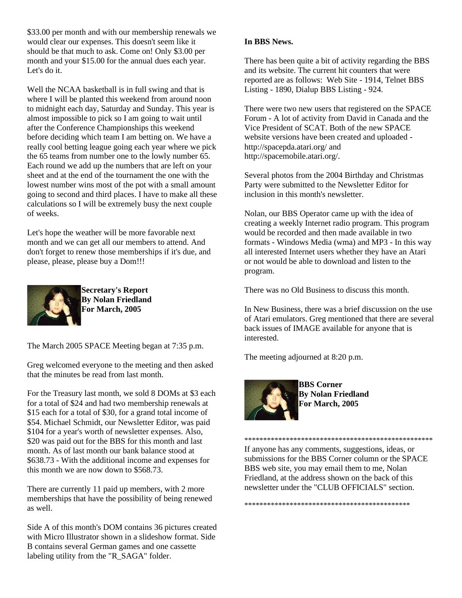\$33.00 per month and with our membership renewals we would clear our expenses. This doesn't seem like it should be that much to ask. Come on! Only \$3.00 per month and your \$15.00 for the annual dues each year. Let's do it.

Well the NCAA basketball is in full swing and that is where I will be planted this weekend from around noon to midnight each day, Saturday and Sunday. This year is almost impossible to pick so I am going to wait until after the Conference Championships this weekend before deciding which team I am betting on. We have a really cool betting league going each year where we pick the 65 teams from number one to the lowly number 65. Each round we add up the numbers that are left on your sheet and at the end of the tournament the one with the lowest number wins most of the pot with a small amount going to second and third places. I have to make all these calculations so I will be extremely busy the next couple of weeks.

Let's hope the weather will be more favorable next month and we can get all our members to attend. And don't forget to renew those memberships if it's due, and please, please, please buy a Dom!!!



**Secretary's Report By Nolan Friedland For March, 2005**

The March 2005 SPACE Meeting began at 7:35 p.m.

Greg welcomed everyone to the meeting and then asked that the minutes be read from last month.

For the Treasury last month, we sold 8 DOMs at \$3 each for a total of \$24 and had two membership renewals at \$15 each for a total of \$30, for a grand total income of \$54. Michael Schmidt, our Newsletter Editor, was paid \$104 for a year's worth of newsletter expenses. Also, \$20 was paid out for the BBS for this month and last month. As of last month our bank balance stood at \$638.73 - With the additional income and expenses for this month we are now down to \$568.73.

There are currently 11 paid up members, with 2 more memberships that have the possibility of being renewed as well.

Side A of this month's DOM contains 36 pictures created with Micro Illustrator shown in a slideshow format. Side B contains several German games and one cassette labeling utility from the "R\_SAGA" folder.

## **In BBS News.**

There has been quite a bit of activity regarding the BBS and its website. The current hit counters that were reported are as follows: Web Site - 1914, Telnet BBS Listing - 1890, Dialup BBS Listing - 924.

There were two new users that registered on the SPACE Forum - A lot of activity from David in Canada and the Vice President of SCAT. Both of the new SPACE website versions have been created and uploaded http://spacepda.atari.org/ and http://spacemobile.atari.org/.

Several photos from the 2004 Birthday and Christmas Party were submitted to the Newsletter Editor for inclusion in this month's newsletter.

Nolan, our BBS Operator came up with the idea of creating a weekly Internet radio program. This program would be recorded and then made available in two formats - Windows Media (wma) and MP3 - In this way all interested Internet users whether they have an Atari or not would be able to download and listen to the program.

There was no Old Business to discuss this month.

In New Business, there was a brief discussion on the use of Atari emulators. Greg mentioned that there are several back issues of IMAGE available for anyone that is interested.

The meeting adjourned at 8:20 p.m.



**BBS Corner By Nolan Friedland For March, 2005**

\*\*\*\*\*\*\*\*\*\*\*\*\*\*\*\*\*\*\*\*\*\*\*\*\*\*\*\*\*\*\*\*\*\*\*\*\*\*\*\*\*\*\*\*\*\*\*\*\*\* If anyone has any comments, suggestions, ideas, or submissions for the BBS Corner column or the SPACE BBS web site, you may email them to me, Nolan Friedland, at the address shown on the back of this newsletter under the "CLUB OFFICIALS" section.

\*\*\*\*\*\*\*\*\*\*\*\*\*\*\*\*\*\*\*\*\*\*\*\*\*\*\*\*\*\*\*\*\*\*\*\*\*\*\*\*\*\*\*\*